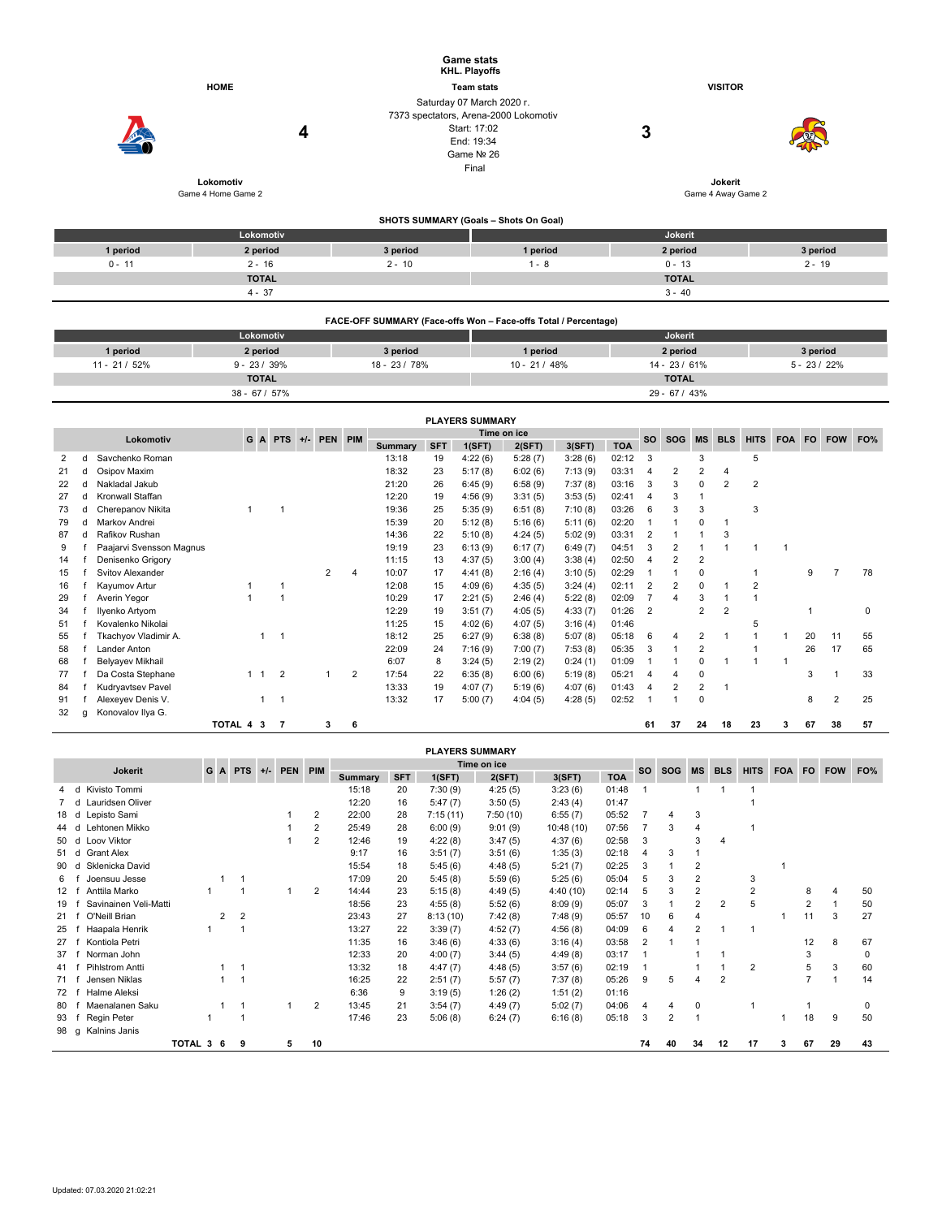|               |                                 |                                                                 | <b>Game stats</b><br><b>KHL. Playoffs</b>                                                                               |                    |                |  |  |  |  |  |  |
|---------------|---------------------------------|-----------------------------------------------------------------|-------------------------------------------------------------------------------------------------------------------------|--------------------|----------------|--|--|--|--|--|--|
|               | <b>HOME</b>                     |                                                                 | <b>Team stats</b>                                                                                                       | <b>VISITOR</b>     |                |  |  |  |  |  |  |
|               | 4                               |                                                                 | Saturday 07 March 2020 r.<br>7373 spectators, Arena-2000 Lokomotiv<br>Start: 17:02<br>End: 19:34<br>Game Nº 26<br>Final | 3                  | Jokerit        |  |  |  |  |  |  |
|               | Lokomotiv<br>Game 4 Home Game 2 |                                                                 |                                                                                                                         | Game 4 Away Game 2 |                |  |  |  |  |  |  |
|               |                                 |                                                                 | SHOTS SUMMARY (Goals - Shots On Goal)                                                                                   |                    |                |  |  |  |  |  |  |
|               | Lokomotiv                       |                                                                 |                                                                                                                         | Jokerit            |                |  |  |  |  |  |  |
| 1 period      | 2 period                        | 3 period                                                        | 1 period                                                                                                                | 2 period           | 3 period       |  |  |  |  |  |  |
| $0 - 11$      | $2 - 16$                        | $2 - 10$                                                        | $1 - 8$                                                                                                                 | $0 - 13$           | $2 - 19$       |  |  |  |  |  |  |
|               | <b>TOTAL</b>                    |                                                                 |                                                                                                                         | <b>TOTAL</b>       |                |  |  |  |  |  |  |
|               | $4 - 37$                        |                                                                 |                                                                                                                         | $3 - 40$           |                |  |  |  |  |  |  |
|               |                                 | FACE-OFF SUMMARY (Face-offs Won - Face-offs Total / Percentage) |                                                                                                                         |                    |                |  |  |  |  |  |  |
|               | Lokomotiv                       |                                                                 |                                                                                                                         | Jokerit            |                |  |  |  |  |  |  |
| 1 period      | 2 period                        | 3 period                                                        | 1 period                                                                                                                | 2 period           | 3 period       |  |  |  |  |  |  |
| 11 - 21 / 52% | $9 - 23 / 39%$                  | 18 - 23 / 78%                                                   | $10 - 21 / 48%$                                                                                                         | $14 - 23 / 61%$    | $5 - 23 / 22%$ |  |  |  |  |  |  |
|               | <b>TOTAL</b>                    |                                                                 |                                                                                                                         | <b>TOTAL</b>       |                |  |  |  |  |  |  |

|           | <b>PLAYERS SUMMARY</b> |                          |           |                |                |  |             |                |             |        |         |         |            |       |                |                |                |                |             |            |            |                |     |
|-----------|------------------------|--------------------------|-----------|----------------|----------------|--|-------------|----------------|-------------|--------|---------|---------|------------|-------|----------------|----------------|----------------|----------------|-------------|------------|------------|----------------|-----|
|           |                        |                          |           |                | G A PTS        |  | +/- PEN PIM |                | Time on ice |        |         |         |            |       | <b>SO</b>      | <b>SOG</b>     | <b>MS</b>      | <b>BLS</b>     | <b>HITS</b> | <b>FOA</b> | <b>FO</b>  |                | FO% |
| Lokomotiv |                        |                          |           |                |                |  |             | <b>Summary</b> | <b>SFT</b>  | 1(SFT) | 2(SFT)  | 3(SFT)  | <b>TOA</b> |       |                |                |                |                |             |            | <b>FOW</b> |                |     |
|           |                        | Savchenko Roman          |           |                |                |  |             |                | 13:18       | 19     | 4:22(6) | 5:28(7) | 3:28(6)    | 02:12 | 3              |                | 3              |                | 5           |            |            |                |     |
| 21        |                        | Osipov Maxim             |           |                |                |  |             |                | 18:32       | 23     | 5:17(8) | 6:02(6) | 7:13(9)    | 03:31 | 4              | 2              | 2              | $\overline{4}$ |             |            |            |                |     |
| 22        |                        | Nakladal Jakub           |           |                |                |  |             |                | 21:20       | 26     | 6:45(9) | 6:58(9) | 7:37(8)    | 03:16 | 3              | 3              | 0              | $\overline{2}$ | 2           |            |            |                |     |
| 27        |                        | Kronwall Staffan         |           |                |                |  |             |                | 12:20       | 19     | 4:56(9) | 3:31(5) | 3:53(5)    | 02:41 | 4              | 3              |                |                |             |            |            |                |     |
| 73        |                        | Cherepanov Nikita        |           |                |                |  |             |                | 19:36       | 25     | 5:35(9) | 6:51(8) | 7:10(8)    | 03:26 | 6              | 3              | 3              |                | 3           |            |            |                |     |
| 79        | d                      | Markov Andrei            |           |                |                |  |             |                | 15:39       | 20     | 5:12(8) | 5:16(6) | 5:11(6)    | 02:20 |                |                | $\Omega$       |                |             |            |            |                |     |
| 87        |                        | Rafikov Rushan           |           |                |                |  |             |                | 14:36       | 22     | 5:10(8) | 4:24(5) | 5:02(9)    | 03:31 | $\overline{2}$ |                |                | 3              |             |            |            |                |     |
| 9         |                        | Paajarvi Svensson Magnus |           |                |                |  |             |                | 19:19       | 23     | 6:13(9) | 6:17(7) | 6:49(7)    | 04:51 | 3              | $\overline{2}$ |                |                |             |            |            |                |     |
| 14        |                        | Denisenko Grigory        |           |                |                |  |             |                | 11:15       | 13     | 4:37(5) | 3:00(4) | 3:38(4)    | 02:50 | 4              | 2              | 2              |                |             |            |            |                |     |
| 15        |                        | Svitov Alexander         |           |                |                |  | 2           | 4              | 10:07       | 17     | 4:41(8) | 2:16(4) | 3:10(5)    | 02:29 |                |                | 0              |                |             |            | 9          | 7              | 78  |
| 16        |                        | Kayumov Artur            |           |                |                |  |             |                | 12:08       | 15     | 4:09(6) | 4:35(5) | 3:24(4)    | 02:11 | $\overline{2}$ | $\overline{2}$ | $\Omega$       |                | 2           |            |            |                |     |
| 29        |                        | Averin Yegor             |           |                |                |  |             |                | 10:29       | 17     | 2:21(5) | 2:46(4) | 5:22(8)    | 02:09 |                | 4              | 3              |                |             |            |            |                |     |
| 34        |                        | Ilyenko Artyom           |           |                |                |  |             |                | 12:29       | 19     | 3:51(7) | 4:05(5) | 4:33(7)    | 01:26 | $\overline{2}$ |                | 2              | $\overline{2}$ |             |            |            |                | 0   |
| 51        |                        | Kovalenko Nikolai        |           |                |                |  |             |                | 11:25       | 15     | 4:02(6) | 4:07(5) | 3:16(4)    | 01:46 |                |                |                |                | 5           |            |            |                |     |
| 55        |                        | Tkachyov Vladimir A.     |           |                |                |  |             |                | 18:12       | 25     | 6:27(9) | 6:38(8) | 5:07(8)    | 05:18 | 6              | 4              | $\overline{2}$ |                |             |            | 20         | 11             | 55  |
| 58        |                        | Lander Anton             |           |                |                |  |             |                | 22:09       | 24     | 7:16(9) | 7:00(7) | 7:53(8)    | 05:35 | 3              |                | 2              |                |             |            | 26         | 17             | 65  |
| 68        |                        | Belyayev Mikhail         |           |                |                |  |             |                | 6:07        | 8      | 3:24(5) | 2:19(2) | 0:24(1)    | 01:09 |                |                | $\Omega$       |                |             |            |            |                |     |
| 77        |                        | Da Costa Stephane        |           | $\overline{1}$ | $\overline{2}$ |  |             | 2              | 17:54       | 22     | 6:35(8) | 6:00(6) | 5:19(8)    | 05:21 | 4              | 4              | 0              |                |             |            | 3          |                | 33  |
| 84        |                        | Kudryavtsev Pavel        |           |                |                |  |             |                | 13:33       | 19     | 4:07(7) | 5:19(6) | 4:07(6)    | 01:43 | 4              | $\overline{2}$ | 2              |                |             |            |            |                |     |
| 91        |                        | Alexeyev Denis V.        |           | 1              | 1              |  |             |                | 13:32       | 17     | 5:00(7) | 4:04(5) | 4:28(5)    | 02:52 |                |                | $\mathbf 0$    |                |             |            | 8          | $\overline{2}$ | 25  |
| 32        | a                      | Konovalov Ilya G.        |           |                |                |  |             |                |             |        |         |         |            |       |                |                |                |                |             |            |            |                |     |
|           |                        |                          | TOTAL 4 3 |                | $\overline{7}$ |  | 3           | 6              |             |        |         |         |            |       | 61             | 37             | 24             | 18             | 23          | з          | 67         | 38             | 57  |

38 - 67 / 57% 29 - 67 / 43%

|                                        |                       |         |   |   |  |   |                |                |            | <b>PLAYERS SUMMARY</b> |          |           |            |                |           |                |                |            |           |            |     |    |
|----------------------------------------|-----------------------|---------|---|---|--|---|----------------|----------------|------------|------------------------|----------|-----------|------------|----------------|-----------|----------------|----------------|------------|-----------|------------|-----|----|
| G A<br>$PTS +/-$<br>PEN PIM<br>Jokerit |                       |         |   |   |  |   | Time on ice    |                |            |                        |          |           | <b>SO</b>  | SOG            | <b>MS</b> | <b>BLS</b>     | <b>HITS</b>    | <b>FOA</b> | <b>FO</b> | <b>FOW</b> | FO% |    |
|                                        |                       |         |   |   |  |   |                | <b>Summary</b> | <b>SFT</b> | 1(SFT)                 | 2(SFT)   | 3(SFT)    | <b>TOA</b> |                |           |                |                |            |           |            |     |    |
|                                        | Kivisto Tommi<br>d    |         |   |   |  |   |                | 15:18          | 20         | 7:30(9)                | 4:25(5)  | 3:23(6)   | 01:48      |                |           |                |                |            |           |            |     |    |
|                                        | Lauridsen Oliver<br>d |         |   |   |  |   |                | 12:20          | 16         | 5:47(7)                | 3:50(5)  | 2:43(4)   | 01:47      |                |           |                |                |            |           |            |     |    |
| 18                                     | Lepisto Sami<br>d     |         |   |   |  |   | 2              | 22:00          | 28         | 7:15(11)               | 7:50(10) | 6:55(7)   | 05:52      |                | 4         | 3              |                |            |           |            |     |    |
| 44                                     | ehtonen Mikko<br>d    |         |   |   |  |   | 2              | 25:49          | 28         | 6:00(9)                | 9:01(9)  | 10:48(10) | 07:56      |                | 3         |                |                |            |           |            |     |    |
| 50                                     | Loov Viktor<br>d      |         |   |   |  |   | $\overline{2}$ | 12:46          | 19         | 4:22(8)                | 3:47(5)  | 4:37(6)   | 02:58      | 3              |           | 3              |                |            |           |            |     |    |
| 51                                     | Grant Alex<br>d       |         |   |   |  |   |                | 9:17           | 16         | 3:51(7)                | 3:51(6)  | 1:35(3)   | 02:18      | 4              | 3         |                |                |            |           |            |     |    |
| 90                                     | Sklenicka David<br>d  |         |   |   |  |   |                | 15:54          | 18         | 5:45(6)                | 4:48(5)  | 5:21(7)   | 02:25      | 3              |           | $\overline{2}$ |                |            |           |            |     |    |
| 6                                      | Joensuu Jesse         |         |   |   |  |   |                | 17:09          | 20         | 5:45(8)                | 5:59(6)  | 5:25(6)   | 05:04      | 5              | 3         | $\overline{2}$ |                | 3          |           |            |     |    |
| 12                                     | Anttila Marko         |         |   |   |  |   | $\overline{2}$ | 14:44          | 23         | 5:15(8)                | 4:49(5)  | 4:40(10)  | 02:14      | 5              | 3         |                |                |            |           | 8          |     | 50 |
| 19                                     | Savinainen Veli-Matti |         |   |   |  |   |                | 18:56          | 23         | 4:55(8)                | 5:52(6)  | 8:09(9)   | 05:07      | 3              |           | 2              | $\overline{2}$ | 5          |           | 2          |     | 50 |
| 21                                     | O'Neill Brian         |         | 2 | 2 |  |   |                | 23:43          | 27         | 8:13(10)               | 7:42(8)  | 7:48(9)   | 05:57      | 10             | 6         |                |                |            |           | 11         | 3   | 27 |
| 25                                     | Haapala Henrik        |         |   |   |  |   |                | 13:27          | 22         | 3:39(7)                | 4:52(7)  | 4:56(8)   | 04:09      | 6              | 4         | 2              |                |            |           |            |     |    |
| 27                                     | Kontiola Petri        |         |   |   |  |   |                | 11:35          | 16         | 3:46(6)                | 4:33(6)  | 3:16(4)   | 03:58      | $\overline{2}$ |           |                |                |            |           | 12         | 8   | 67 |
| 37                                     | Norman John           |         |   |   |  |   |                | 12:33          | 20         | 4:00(7)                | 3:44(5)  | 4:49(8)   | 03:17      |                |           |                |                |            |           | 3          |     | O  |
| 41                                     | Pihlstrom Antti       |         |   |   |  |   |                | 13:32          | 18         | 4:47(7)                | 4:48(5)  | 3:57(6)   | 02:19      |                |           |                |                | 2          |           | 5          | 3   | 60 |
| 71                                     | Jensen Niklas         |         |   |   |  |   |                | 16:25          | 22         | 2:51(7)                | 5:57(7)  | 7:37(8)   | 05:26      | 9              | 5         |                | $\overline{2}$ |            |           |            |     | 14 |
| 72                                     | Halme Aleksi          |         |   |   |  |   |                | 6:36           | 9          | 3:19(5)                | 1:26(2)  | 1:51(2)   | 01:16      |                |           |                |                |            |           |            |     |    |
| 80                                     | Maenalanen Saku       |         |   |   |  |   | $\overline{2}$ | 13:45          | 21         | 3:54(7)                | 4:49(7)  | 5:02(7)   | 04:06      |                | 4         | 0              |                |            |           |            |     | 0  |
| 93                                     | Regin Peter           |         |   |   |  |   |                | 17:46          | 23         | 5:06(8)                | 6:24(7)  | 6:16(8)   | 05:18      | 3              | 2         |                |                |            |           | 18         | 9   | 50 |
| 98 g                                   | Kalnins Janis         |         |   |   |  |   |                |                |            |                        |          |           |            |                |           |                |                |            |           |            |     |    |
|                                        |                       | TOTAL 3 | 6 | 9 |  | 5 | 10             |                |            |                        |          |           |            | 74             | 40        | 34             | 12             | 17         | 3         | 67         | 29  | 43 |